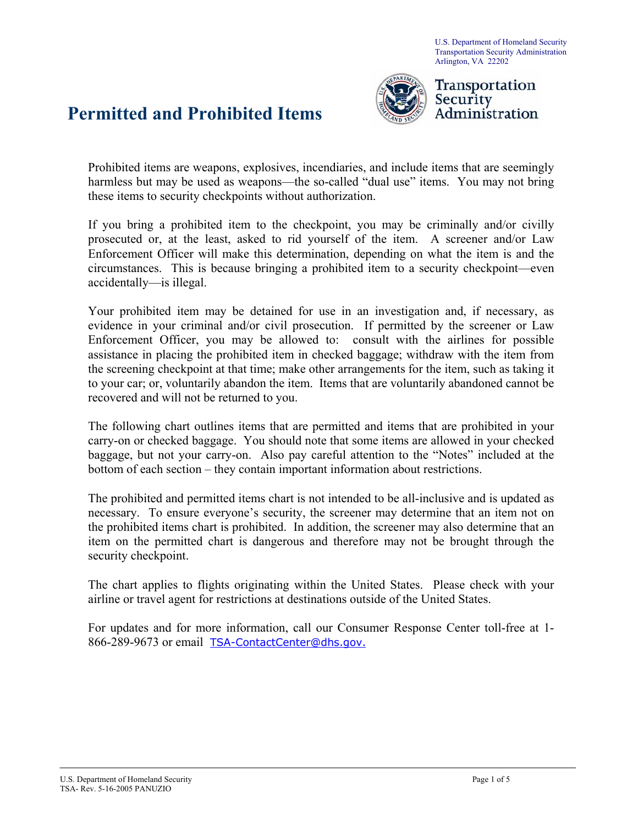Transportation

Administration

Security



#### **Permitted and Prohibited Items**

Prohibited items are weapons, explosives, incendiaries, and include items that are seemingly harmless but may be used as weapons—the so-called "dual use" items. You may not bring these items to security checkpoints without authorization.

If you bring a prohibited item to the checkpoint, you may be criminally and/or civilly prosecuted or, at the least, asked to rid yourself of the item. A screener and/or Law Enforcement Officer will make this determination, depending on what the item is and the circumstances. This is because bringing a prohibited item to a security checkpoint—even accidentally—is illegal.

Your prohibited item may be detained for use in an investigation and, if necessary, as evidence in your criminal and/or civil prosecution. If permitted by the screener or Law Enforcement Officer, you may be allowed to: consult with the airlines for possible assistance in placing the prohibited item in checked baggage; withdraw with the item from the screening checkpoint at that time; make other arrangements for the item, such as taking it to your car; or, voluntarily abandon the item. Items that are voluntarily abandoned cannot be recovered and will not be returned to you.

The following chart outlines items that are permitted and items that are prohibited in your carry-on or checked baggage. You should note that some items are allowed in your checked baggage, but not your carry-on. Also pay careful attention to the "Notes" included at the bottom of each section – they contain important information about restrictions.

The prohibited and permitted items chart is not intended to be all-inclusive and is updated as necessary. To ensure everyone's security, the screener may determine that an item not on the prohibited items chart is prohibited. In addition, the screener may also determine that an item on the permitted chart is dangerous and therefore may not be brought through the security checkpoint.

The chart applies to flights originating within the United States. Please check with your airline or travel agent for restrictions at destinations outside of the United States.

For updates and for more information, call our Consumer Response Center toll-free at 1- 866-289-9673 or email TSA-ContactCenter@dhs.gov.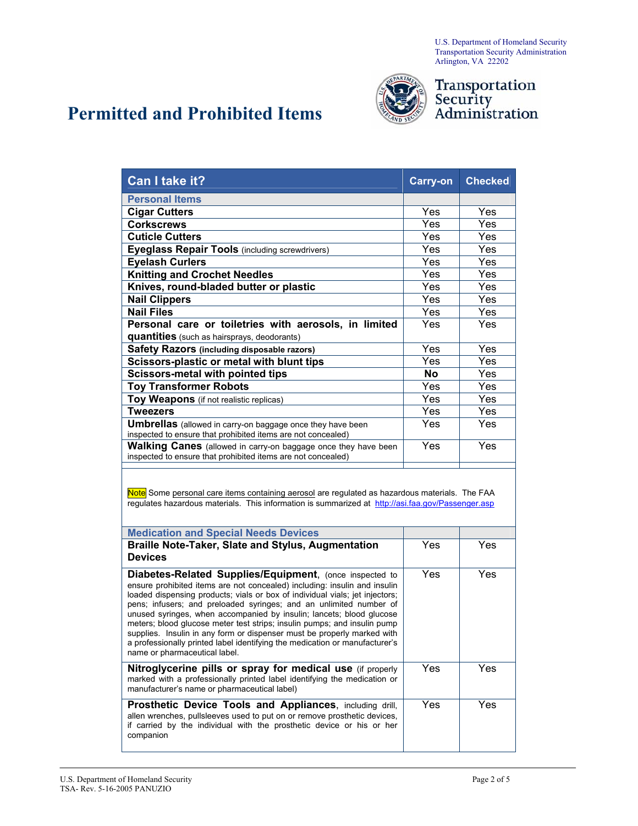Transportation<br>Security<br>Administration



| Can I take it?                                                                                                                                                                                                                                                                                                                                                                                                                                                                                                                                                                                                                            | Carry-on  | <b>Checked</b> |
|-------------------------------------------------------------------------------------------------------------------------------------------------------------------------------------------------------------------------------------------------------------------------------------------------------------------------------------------------------------------------------------------------------------------------------------------------------------------------------------------------------------------------------------------------------------------------------------------------------------------------------------------|-----------|----------------|
| <b>Personal Items</b>                                                                                                                                                                                                                                                                                                                                                                                                                                                                                                                                                                                                                     |           |                |
| <b>Cigar Cutters</b>                                                                                                                                                                                                                                                                                                                                                                                                                                                                                                                                                                                                                      | Yes       | Yes            |
| <b>Corkscrews</b>                                                                                                                                                                                                                                                                                                                                                                                                                                                                                                                                                                                                                         | Yes       | Yes            |
| <b>Cuticle Cutters</b>                                                                                                                                                                                                                                                                                                                                                                                                                                                                                                                                                                                                                    | Yes       | Yes            |
| <b>Eyeglass Repair Tools (including screwdrivers)</b>                                                                                                                                                                                                                                                                                                                                                                                                                                                                                                                                                                                     | Yes       | Yes            |
| <b>Eyelash Curlers</b>                                                                                                                                                                                                                                                                                                                                                                                                                                                                                                                                                                                                                    | Yes       | Yes            |
| <b>Knitting and Crochet Needles</b>                                                                                                                                                                                                                                                                                                                                                                                                                                                                                                                                                                                                       | Yes       | Yes            |
| Knives, round-bladed butter or plastic                                                                                                                                                                                                                                                                                                                                                                                                                                                                                                                                                                                                    | Yes       | Yes            |
| <b>Nail Clippers</b>                                                                                                                                                                                                                                                                                                                                                                                                                                                                                                                                                                                                                      | Yes       | Yes            |
| <b>Nail Files</b>                                                                                                                                                                                                                                                                                                                                                                                                                                                                                                                                                                                                                         | Yes       | Yes            |
| Personal care or toiletries with aerosols, in limited                                                                                                                                                                                                                                                                                                                                                                                                                                                                                                                                                                                     | Yes       | Yes            |
| quantities (such as hairsprays, deodorants)                                                                                                                                                                                                                                                                                                                                                                                                                                                                                                                                                                                               |           |                |
| Safety Razors (including disposable razors)                                                                                                                                                                                                                                                                                                                                                                                                                                                                                                                                                                                               | Yes       | Yes            |
| Scissors-plastic or metal with blunt tips                                                                                                                                                                                                                                                                                                                                                                                                                                                                                                                                                                                                 | Yes       | Yes            |
| <b>Scissors-metal with pointed tips</b>                                                                                                                                                                                                                                                                                                                                                                                                                                                                                                                                                                                                   | <b>No</b> | Yes            |
| <b>Toy Transformer Robots</b>                                                                                                                                                                                                                                                                                                                                                                                                                                                                                                                                                                                                             | Yes       | Yes            |
| Toy Weapons (if not realistic replicas)                                                                                                                                                                                                                                                                                                                                                                                                                                                                                                                                                                                                   | Yes       | Yes            |
| <b>Tweezers</b>                                                                                                                                                                                                                                                                                                                                                                                                                                                                                                                                                                                                                           | Yes       | Yes            |
| <b>Umbrellas</b> (allowed in carry-on baggage once they have been<br>inspected to ensure that prohibited items are not concealed)                                                                                                                                                                                                                                                                                                                                                                                                                                                                                                         | Yes       | Yes            |
| Walking Canes (allowed in carry-on baggage once they have been<br>inspected to ensure that prohibited items are not concealed)                                                                                                                                                                                                                                                                                                                                                                                                                                                                                                            | Yes       | Yes            |
| Note Some personal care items containing aerosol are regulated as hazardous materials. The FAA<br>regulates hazardous materials. This information is summarized at http://asi.faa.gov/Passenger.asp                                                                                                                                                                                                                                                                                                                                                                                                                                       |           |                |
| <b>Medication and Special Needs Devices</b>                                                                                                                                                                                                                                                                                                                                                                                                                                                                                                                                                                                               |           |                |
| <b>Braille Note-Taker, Slate and Stylus, Augmentation</b><br><b>Devices</b>                                                                                                                                                                                                                                                                                                                                                                                                                                                                                                                                                               | Yes       | Yes            |
| Diabetes-Related Supplies/Equipment, (once inspected to<br>ensure prohibited items are not concealed) including: insulin and insulin<br>loaded dispensing products; vials or box of individual vials; jet injectors;<br>pens; infusers; and preloaded syringes; and an unlimited number of<br>unused syringes, when accompanied by insulin; lancets; blood glucose<br>meters; blood glucose meter test strips; insulin pumps; and insulin pump<br>supplies. Insulin in any form or dispenser must be properly marked with<br>a professionally printed label identifying the medication or manufacturer's<br>name or pharmaceutical label. | Yes       | Yes            |
| Nitroglycerine pills or spray for medical use (if properly<br>marked with a professionally printed label identifying the medication or<br>manufacturer's name or pharmaceutical label)                                                                                                                                                                                                                                                                                                                                                                                                                                                    | Yes       | Yes            |
| Prosthetic Device Tools and Appliances, including drill,<br>allen wrenches, pullsleeves used to put on or remove prosthetic devices,<br>if carried by the individual with the prosthetic device or his or her<br>companion                                                                                                                                                                                                                                                                                                                                                                                                                | Yes       | Yes            |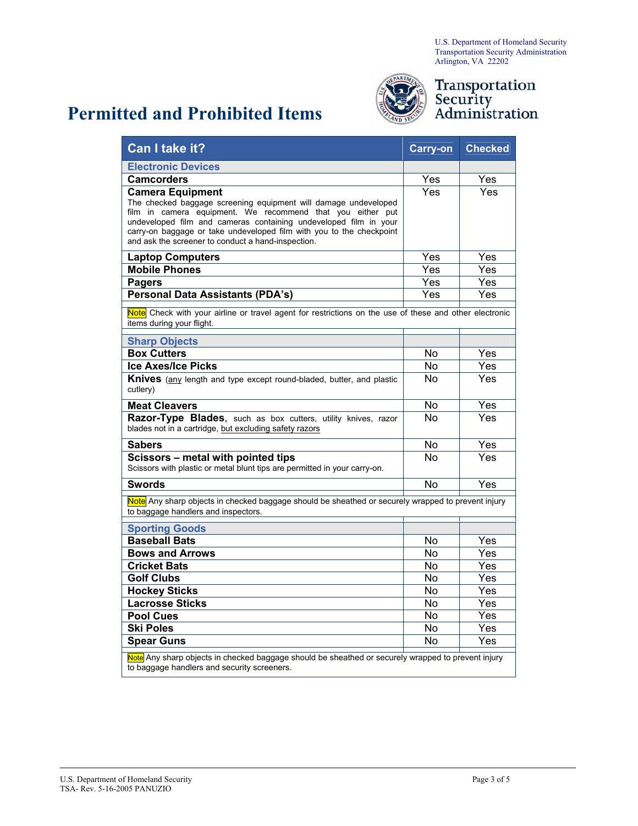

# Transportation<br>Security<br>Administration

| Can I take it?                                                                                                                                    | <b>Carry-on</b>   | <b>Checked</b>    |
|---------------------------------------------------------------------------------------------------------------------------------------------------|-------------------|-------------------|
| <b>Electronic Devices</b>                                                                                                                         |                   |                   |
| <b>Camcorders</b>                                                                                                                                 | Yes               | Yes               |
| <b>Camera Equipment</b>                                                                                                                           | $\overline{Y}$ es | Yes               |
| The checked baggage screening equipment will damage undeveloped<br>film in camera equipment. We recommend that you either put                     |                   |                   |
| undeveloped film and cameras containing undeveloped film in your                                                                                  |                   |                   |
| carry-on baggage or take undeveloped film with you to the checkpoint                                                                              |                   |                   |
| and ask the screener to conduct a hand-inspection.                                                                                                |                   |                   |
| <b>Laptop Computers</b>                                                                                                                           | Yes               | Yes               |
| <b>Mobile Phones</b>                                                                                                                              | Yes               | Yes               |
| <b>Pagers</b>                                                                                                                                     | Yes               | $\overline{Y}$ es |
| <b>Personal Data Assistants (PDA's)</b>                                                                                                           | Yes               | Yes               |
| Note Check with your airline or travel agent for restrictions on the use of these and other electronic<br>items during your flight.               |                   |                   |
| <b>Sharp Objects</b>                                                                                                                              |                   |                   |
| <b>Box Cutters</b>                                                                                                                                | No                | Yes               |
| <b>Ice Axes/Ice Picks</b>                                                                                                                         | No                | Yes               |
| Knives (any length and type except round-bladed, butter, and plastic<br>cutlery)                                                                  | No                | Yes               |
| <b>Meat Cleavers</b>                                                                                                                              | No                | Yes               |
| Razor-Type Blades, such as box cutters, utility knives, razor<br>blades not in a cartridge, but excluding safety razors                           | No.               | Yes               |
| <b>Sabers</b>                                                                                                                                     | No                | Yes               |
| Scissors - metal with pointed tips                                                                                                                | No                | Yes               |
| Scissors with plastic or metal blunt tips are permitted in your carry-on.                                                                         |                   |                   |
| <b>Swords</b>                                                                                                                                     | No                | Yes               |
| Note Any sharp objects in checked baggage should be sheathed or securely wrapped to prevent injury<br>to baggage handlers and inspectors.         |                   |                   |
| <b>Sporting Goods</b>                                                                                                                             |                   |                   |
| <b>Baseball Bats</b>                                                                                                                              | No                | Yes               |
| <b>Bows and Arrows</b>                                                                                                                            | N <sub>0</sub>    | Yes               |
| <b>Cricket Bats</b>                                                                                                                               | No                | Yes               |
| <b>Golf Clubs</b>                                                                                                                                 | No                | Yes               |
| <b>Hockey Sticks</b>                                                                                                                              | No                | Yes               |
| <b>Lacrosse Sticks</b>                                                                                                                            | No                | Yes               |
| <b>Pool Cues</b>                                                                                                                                  | <b>No</b>         | Yes               |
| <b>Ski Poles</b>                                                                                                                                  | No                | Yes               |
| <b>Spear Guns</b>                                                                                                                                 | No                | Yes               |
| Note Any sharp objects in checked baggage should be sheathed or securely wrapped to prevent injury<br>to baggage handlers and security screeners. |                   |                   |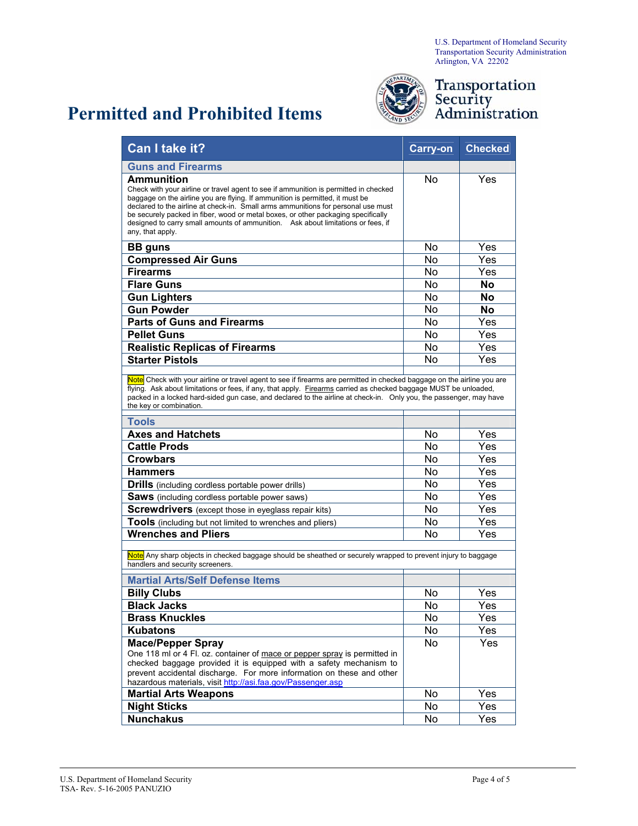

# Transportation<br>Security<br>Administration

| Can I take it?                                                                                                                                                                                                                                                                                                                                                                                                                                                        | <b>Carry-on</b> | <b>Checked</b> |
|-----------------------------------------------------------------------------------------------------------------------------------------------------------------------------------------------------------------------------------------------------------------------------------------------------------------------------------------------------------------------------------------------------------------------------------------------------------------------|-----------------|----------------|
| <b>Guns and Firearms</b>                                                                                                                                                                                                                                                                                                                                                                                                                                              |                 |                |
| Ammunition<br>Check with your airline or travel agent to see if ammunition is permitted in checked<br>baggage on the airline you are flying. If ammunition is permitted, it must be<br>declared to the airline at check-in. Small arms ammunitions for personal use must<br>be securely packed in fiber, wood or metal boxes, or other packaging specifically<br>designed to carry small amounts of ammunition. Ask about limitations or fees, if<br>any, that apply. | No              | Yes            |
| <b>BB</b> guns                                                                                                                                                                                                                                                                                                                                                                                                                                                        | No              | Yes            |
| <b>Compressed Air Guns</b>                                                                                                                                                                                                                                                                                                                                                                                                                                            | No              | Yes            |
| <b>Firearms</b>                                                                                                                                                                                                                                                                                                                                                                                                                                                       | No              | Yes            |
| <b>Flare Guns</b>                                                                                                                                                                                                                                                                                                                                                                                                                                                     | No              | <b>No</b>      |
| <b>Gun Lighters</b>                                                                                                                                                                                                                                                                                                                                                                                                                                                   | No              | <b>No</b>      |
| <b>Gun Powder</b>                                                                                                                                                                                                                                                                                                                                                                                                                                                     | No              | <b>No</b>      |
| <b>Parts of Guns and Firearms</b>                                                                                                                                                                                                                                                                                                                                                                                                                                     | No              | Yes            |
| <b>Pellet Guns</b>                                                                                                                                                                                                                                                                                                                                                                                                                                                    | No              | Yes            |
| <b>Realistic Replicas of Firearms</b>                                                                                                                                                                                                                                                                                                                                                                                                                                 | No              | Yes            |
| <b>Starter Pistols</b>                                                                                                                                                                                                                                                                                                                                                                                                                                                | No              | Yes            |
|                                                                                                                                                                                                                                                                                                                                                                                                                                                                       |                 |                |
| Note Check with your airline or travel agent to see if firearms are permitted in checked baggage on the airline you are<br>flying. Ask about limitations or fees, if any, that apply. Firearms carried as checked baggage MUST be unloaded,<br>packed in a locked hard-sided gun case, and declared to the airline at check-in. Only you, the passenger, may have<br>the key or combination.                                                                          |                 |                |
| <b>Tools</b>                                                                                                                                                                                                                                                                                                                                                                                                                                                          |                 |                |
| <b>Axes and Hatchets</b>                                                                                                                                                                                                                                                                                                                                                                                                                                              | No              | Yes            |
| <b>Cattle Prods</b>                                                                                                                                                                                                                                                                                                                                                                                                                                                   | No              | Yes            |
| <b>Crowbars</b>                                                                                                                                                                                                                                                                                                                                                                                                                                                       | No              | Yes            |
| <b>Hammers</b>                                                                                                                                                                                                                                                                                                                                                                                                                                                        | No              | Yes            |
| <b>Drills</b> (including cordless portable power drills)                                                                                                                                                                                                                                                                                                                                                                                                              | No              | Yes            |
| <b>Saws</b> (including cordless portable power saws)                                                                                                                                                                                                                                                                                                                                                                                                                  | No              | Yes            |
| <b>Screwdrivers</b> (except those in eyeglass repair kits)                                                                                                                                                                                                                                                                                                                                                                                                            | No              | Yes            |
| Tools (including but not limited to wrenches and pliers)                                                                                                                                                                                                                                                                                                                                                                                                              | No              | Yes            |
| <b>Wrenches and Pliers</b>                                                                                                                                                                                                                                                                                                                                                                                                                                            | No              | Yes            |
| Note Any sharp objects in checked baggage should be sheathed or securely wrapped to prevent injury to baggage<br>handlers and security screeners.                                                                                                                                                                                                                                                                                                                     |                 |                |
| <b>Martial Arts/Self Defense Items</b>                                                                                                                                                                                                                                                                                                                                                                                                                                |                 |                |
| <b>Billy Clubs</b>                                                                                                                                                                                                                                                                                                                                                                                                                                                    | No              | Yes            |
| <b>Black Jacks</b>                                                                                                                                                                                                                                                                                                                                                                                                                                                    | No              | Yes            |
| <b>Brass Knuckles</b>                                                                                                                                                                                                                                                                                                                                                                                                                                                 | No              | Yes            |
| <b>Kubatons</b>                                                                                                                                                                                                                                                                                                                                                                                                                                                       | No              | Yes            |
| <b>Mace/Pepper Spray</b>                                                                                                                                                                                                                                                                                                                                                                                                                                              | No              | Yes            |
| One 118 ml or 4 Fl. oz. container of mace or pepper spray is permitted in<br>checked baggage provided it is equipped with a safety mechanism to<br>prevent accidental discharge. For more information on these and other<br>hazardous materials, visit http://asi.faa.gov/Passenger.asp                                                                                                                                                                               |                 |                |
| <b>Martial Arts Weapons</b>                                                                                                                                                                                                                                                                                                                                                                                                                                           | No              | Yes            |
| <b>Night Sticks</b>                                                                                                                                                                                                                                                                                                                                                                                                                                                   | No              | Yes            |
| <b>Nunchakus</b>                                                                                                                                                                                                                                                                                                                                                                                                                                                      | No              | Yes            |